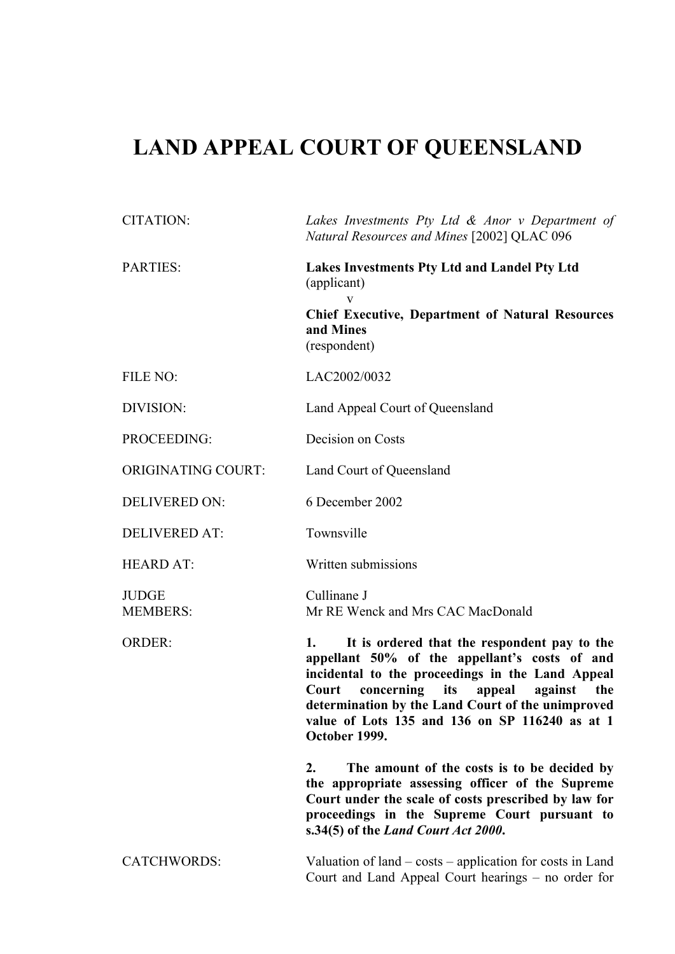# **LAND APPEAL COURT OF QUEENSLAND**

| <b>CITATION:</b>                | Lakes Investments Pty Ltd $\&$ Anor $v$ Department of<br>Natural Resources and Mines [2002] QLAC 096                                                                                                                                                                                                                                      |
|---------------------------------|-------------------------------------------------------------------------------------------------------------------------------------------------------------------------------------------------------------------------------------------------------------------------------------------------------------------------------------------|
| <b>PARTIES:</b>                 | Lakes Investments Pty Ltd and Landel Pty Ltd<br>(applicant)<br>V<br><b>Chief Executive, Department of Natural Resources</b><br>and Mines<br>(respondent)                                                                                                                                                                                  |
| FILE NO:                        | LAC2002/0032                                                                                                                                                                                                                                                                                                                              |
| DIVISION:                       | Land Appeal Court of Queensland                                                                                                                                                                                                                                                                                                           |
| PROCEEDING:                     | Decision on Costs                                                                                                                                                                                                                                                                                                                         |
| <b>ORIGINATING COURT:</b>       | Land Court of Queensland                                                                                                                                                                                                                                                                                                                  |
| <b>DELIVERED ON:</b>            | 6 December 2002                                                                                                                                                                                                                                                                                                                           |
| <b>DELIVERED AT:</b>            | Townsville                                                                                                                                                                                                                                                                                                                                |
| <b>HEARD AT:</b>                | Written submissions                                                                                                                                                                                                                                                                                                                       |
| <b>JUDGE</b><br><b>MEMBERS:</b> | Cullinane J<br>Mr RE Wenck and Mrs CAC MacDonald                                                                                                                                                                                                                                                                                          |
| <b>ORDER:</b>                   | It is ordered that the respondent pay to the<br>1.<br>appellant 50% of the appellant's costs of and<br>incidental to the proceedings in the Land Appeal<br>concerning<br>its<br>appeal<br>against<br>Court<br>the<br>determination by the Land Court of the unimproved<br>value of Lots 135 and 136 on SP 116240 as at 1<br>October 1999. |
|                                 | 2.<br>The amount of the costs is to be decided by<br>the appropriate assessing officer of the Supreme<br>Court under the scale of costs prescribed by law for<br>proceedings in the Supreme Court pursuant to<br>s.34(5) of the Land Court Act 2000.                                                                                      |
| <b>CATCHWORDS:</b>              | Valuation of land $-\cos\theta$ application for costs in Land<br>Court and Land Appeal Court hearings – no order for                                                                                                                                                                                                                      |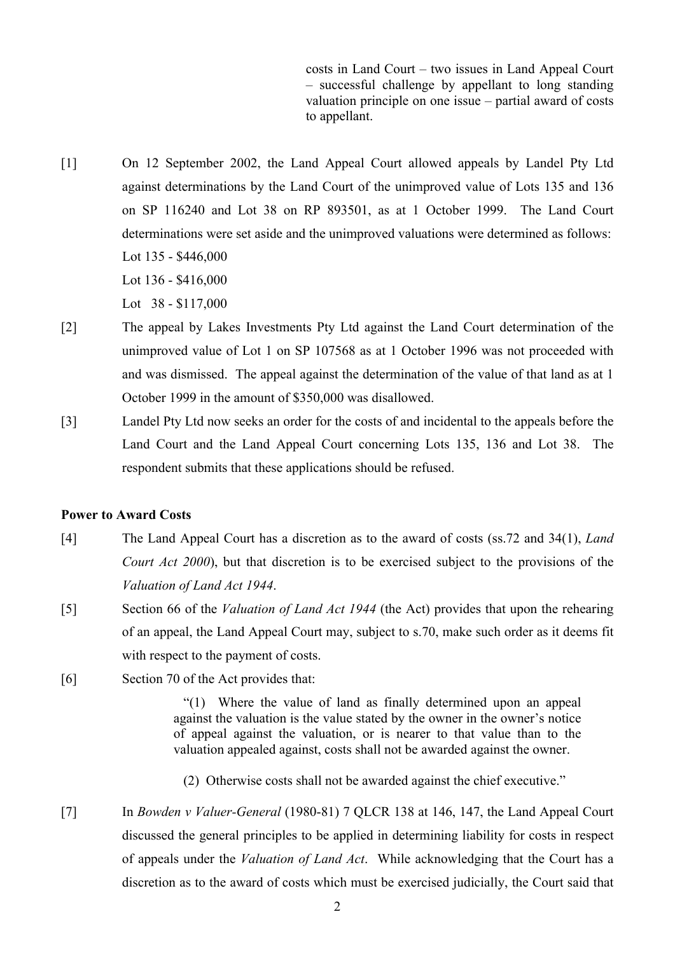costs in Land Court – two issues in Land Appeal Court – successful challenge by appellant to long standing valuation principle on one issue – partial award of costs to appellant.

[1] On 12 September 2002, the Land Appeal Court allowed appeals by Landel Pty Ltd against determinations by the Land Court of the unimproved value of Lots 135 and 136 on SP 116240 and Lot 38 on RP 893501, as at 1 October 1999. The Land Court determinations were set aside and the unimproved valuations were determined as follows: Lot 135 - \$446,000 Lot 136 - \$416,000 Lot 38 - \$117,000

- [2] The appeal by Lakes Investments Pty Ltd against the Land Court determination of the unimproved value of Lot 1 on SP 107568 as at 1 October 1996 was not proceeded with and was dismissed. The appeal against the determination of the value of that land as at 1 October 1999 in the amount of \$350,000 was disallowed.
- [3] Landel Pty Ltd now seeks an order for the costs of and incidental to the appeals before the Land Court and the Land Appeal Court concerning Lots 135, 136 and Lot 38. The respondent submits that these applications should be refused.

# **Power to Award Costs**

- [4] The Land Appeal Court has a discretion as to the award of costs (ss.72 and 34(1), *Land Court Act 2000*), but that discretion is to be exercised subject to the provisions of the *Valuation of Land Act 1944*.
- [5] Section 66 of the *Valuation of Land Act 1944* (the Act) provides that upon the rehearing of an appeal, the Land Appeal Court may, subject to s.70, make such order as it deems fit with respect to the payment of costs.
- [6] Section 70 of the Act provides that:

"(1) Where the value of land as finally determined upon an appeal against the valuation is the value stated by the owner in the owner's notice of appeal against the valuation, or is nearer to that value than to the valuation appealed against, costs shall not be awarded against the owner.

- (2) Otherwise costs shall not be awarded against the chief executive."
- [7] In *Bowden v Valuer-General* (1980-81) 7 QLCR 138 at 146, 147, the Land Appeal Court discussed the general principles to be applied in determining liability for costs in respect of appeals under the *Valuation of Land Act*. While acknowledging that the Court has a discretion as to the award of costs which must be exercised judicially, the Court said that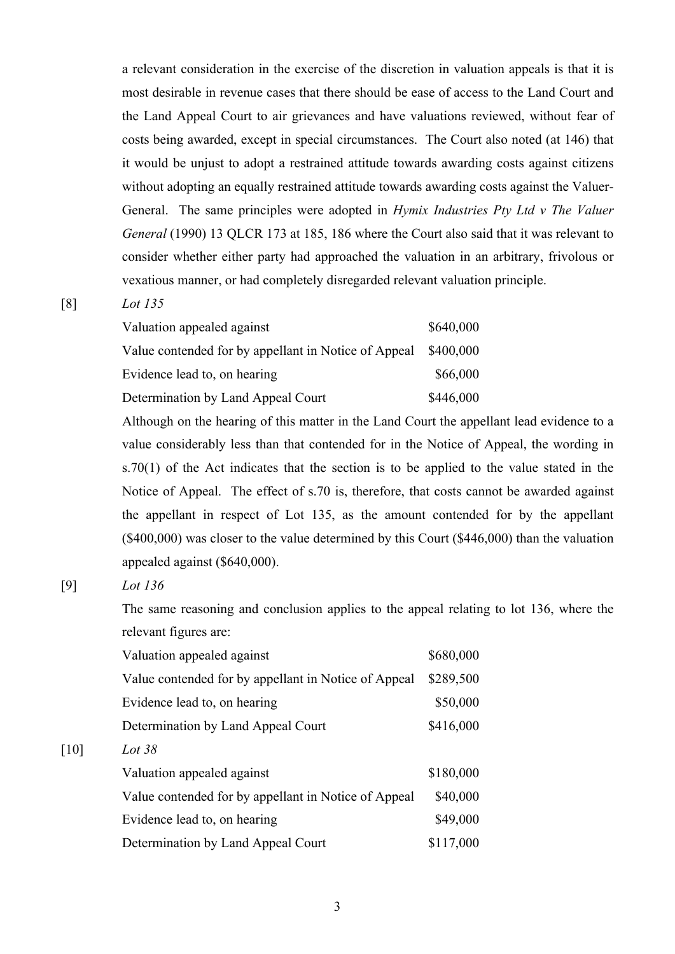a relevant consideration in the exercise of the discretion in valuation appeals is that it is most desirable in revenue cases that there should be ease of access to the Land Court and the Land Appeal Court to air grievances and have valuations reviewed, without fear of costs being awarded, except in special circumstances. The Court also noted (at 146) that it would be unjust to adopt a restrained attitude towards awarding costs against citizens without adopting an equally restrained attitude towards awarding costs against the Valuer-General. The same principles were adopted in *Hymix Industries Pty Ltd v The Valuer General* (1990) 13 QLCR 173 at 185, 186 where the Court also said that it was relevant to consider whether either party had approached the valuation in an arbitrary, frivolous or vexatious manner, or had completely disregarded relevant valuation principle.

# [8] *Lot 135*

| Lot 135 |  |  |
|---------|--|--|
|         |  |  |

| Valuation appealed against                           | \$640,000 |
|------------------------------------------------------|-----------|
| Value contended for by appellant in Notice of Appeal | \$400,000 |
| Evidence lead to, on hearing                         | \$66,000  |
| Determination by Land Appeal Court                   | \$446,000 |

Although on the hearing of this matter in the Land Court the appellant lead evidence to a value considerably less than that contended for in the Notice of Appeal, the wording in s.70(1) of the Act indicates that the section is to be applied to the value stated in the Notice of Appeal. The effect of s.70 is, therefore, that costs cannot be awarded against the appellant in respect of Lot 135, as the amount contended for by the appellant (\$400,000) was closer to the value determined by this Court (\$446,000) than the valuation appealed against (\$640,000).

[10] *Lot 38*

[9] *Lot 136*

The same reasoning and conclusion applies to the appeal relating to lot 136, where the relevant figures are:

| Valuation appealed against                           | \$680,000 |
|------------------------------------------------------|-----------|
| Value contended for by appellant in Notice of Appeal | \$289,500 |
| Evidence lead to, on hearing                         | \$50,000  |
| Determination by Land Appeal Court                   | \$416,000 |
| Lot 38                                               |           |
| Valuation appealed against                           | \$180,000 |
| Value contended for by appellant in Notice of Appeal | \$40,000  |
| Evidence lead to, on hearing                         | \$49,000  |
| Determination by Land Appeal Court                   | \$117,000 |
|                                                      |           |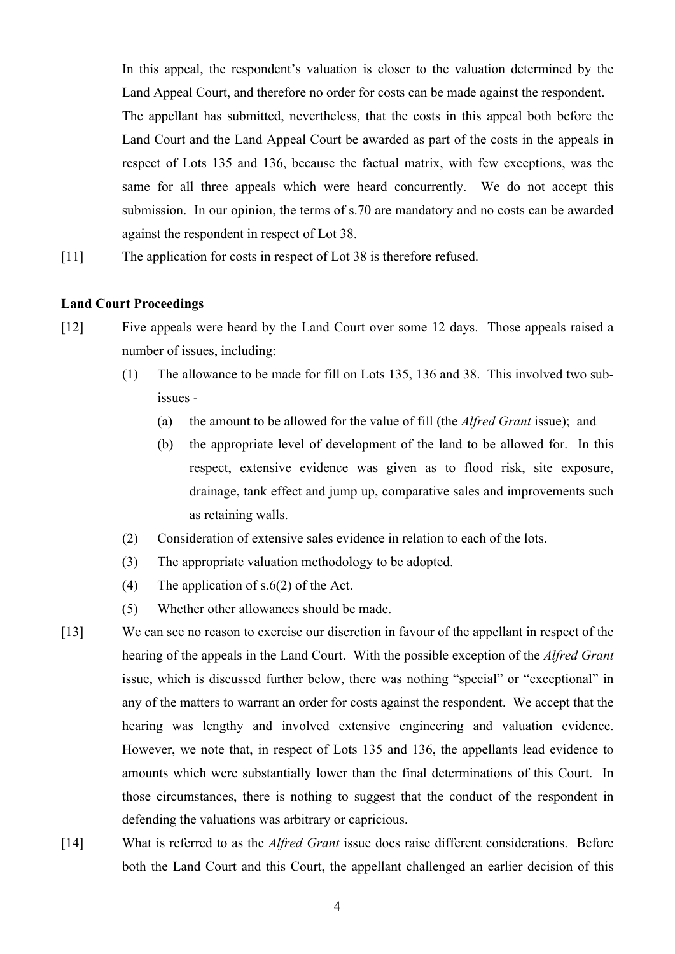In this appeal, the respondent's valuation is closer to the valuation determined by the Land Appeal Court, and therefore no order for costs can be made against the respondent. The appellant has submitted, nevertheless, that the costs in this appeal both before the Land Court and the Land Appeal Court be awarded as part of the costs in the appeals in respect of Lots 135 and 136, because the factual matrix, with few exceptions, was the same for all three appeals which were heard concurrently. We do not accept this submission. In our opinion, the terms of s.70 are mandatory and no costs can be awarded against the respondent in respect of Lot 38.

[11] The application for costs in respect of Lot 38 is therefore refused.

### **Land Court Proceedings**

- [12] Five appeals were heard by the Land Court over some 12 days. Those appeals raised a number of issues, including:
	- (1) The allowance to be made for fill on Lots 135, 136 and 38. This involved two subissues -
		- (a) the amount to be allowed for the value of fill (the *Alfred Grant* issue); and
		- (b) the appropriate level of development of the land to be allowed for. In this respect, extensive evidence was given as to flood risk, site exposure, drainage, tank effect and jump up, comparative sales and improvements such as retaining walls.
	- (2) Consideration of extensive sales evidence in relation to each of the lots.
	- (3) The appropriate valuation methodology to be adopted.
	- (4) The application of s.6(2) of the Act.
	- (5) Whether other allowances should be made.
- [13] We can see no reason to exercise our discretion in favour of the appellant in respect of the hearing of the appeals in the Land Court. With the possible exception of the *Alfred Grant* issue, which is discussed further below, there was nothing "special" or "exceptional" in any of the matters to warrant an order for costs against the respondent. We accept that the hearing was lengthy and involved extensive engineering and valuation evidence. However, we note that, in respect of Lots 135 and 136, the appellants lead evidence to amounts which were substantially lower than the final determinations of this Court. In those circumstances, there is nothing to suggest that the conduct of the respondent in defending the valuations was arbitrary or capricious.
- [14] What is referred to as the *Alfred Grant* issue does raise different considerations. Before both the Land Court and this Court, the appellant challenged an earlier decision of this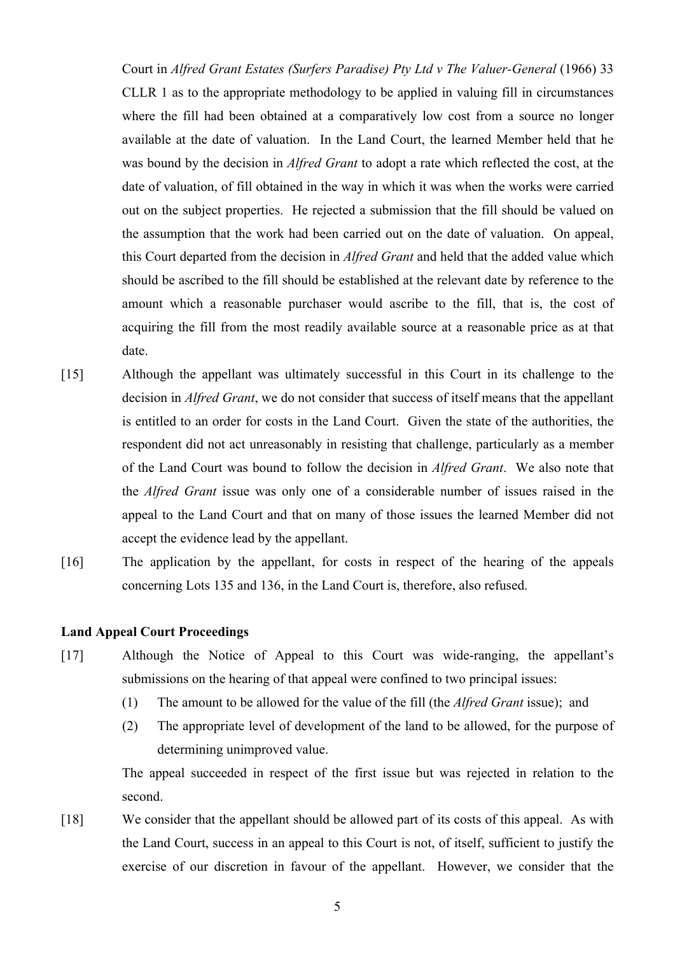Court in *Alfred Grant Estates (Surfers Paradise) Pty Ltd v The Valuer-General* (1966) 33 CLLR 1 as to the appropriate methodology to be applied in valuing fill in circumstances where the fill had been obtained at a comparatively low cost from a source no longer available at the date of valuation. In the Land Court, the learned Member held that he was bound by the decision in *Alfred Grant* to adopt a rate which reflected the cost, at the date of valuation, of fill obtained in the way in which it was when the works were carried out on the subject properties. He rejected a submission that the fill should be valued on the assumption that the work had been carried out on the date of valuation. On appeal, this Court departed from the decision in *Alfred Grant* and held that the added value which should be ascribed to the fill should be established at the relevant date by reference to the amount which a reasonable purchaser would ascribe to the fill, that is, the cost of acquiring the fill from the most readily available source at a reasonable price as at that date.

- [15] Although the appellant was ultimately successful in this Court in its challenge to the decision in *Alfred Grant*, we do not consider that success of itself means that the appellant is entitled to an order for costs in the Land Court. Given the state of the authorities, the respondent did not act unreasonably in resisting that challenge, particularly as a member of the Land Court was bound to follow the decision in *Alfred Grant*. We also note that the *Alfred Grant* issue was only one of a considerable number of issues raised in the appeal to the Land Court and that on many of those issues the learned Member did not accept the evidence lead by the appellant.
- [16] The application by the appellant, for costs in respect of the hearing of the appeals concerning Lots 135 and 136, in the Land Court is, therefore, also refused.

### **Land Appeal Court Proceedings**

- [17] Although the Notice of Appeal to this Court was wide-ranging, the appellant's submissions on the hearing of that appeal were confined to two principal issues:
	- (1) The amount to be allowed for the value of the fill (the *Alfred Grant* issue); and
	- (2) The appropriate level of development of the land to be allowed, for the purpose of determining unimproved value.

The appeal succeeded in respect of the first issue but was rejected in relation to the second.

[18] We consider that the appellant should be allowed part of its costs of this appeal. As with the Land Court, success in an appeal to this Court is not, of itself, sufficient to justify the exercise of our discretion in favour of the appellant. However, we consider that the